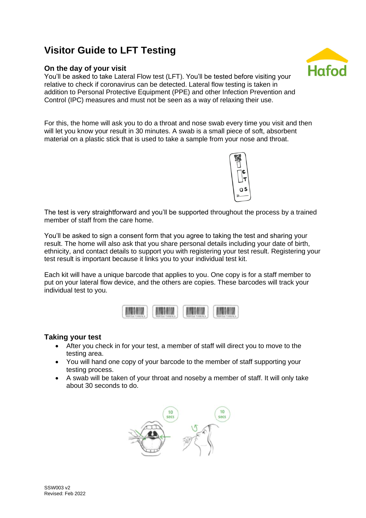# **Visitor Guide to LFT Testing**

## **On the day of your visit**

You'll be asked to take Lateral Flow test (LFT). You'll be tested before visiting your relative to check if coronavirus can be detected. Lateral flow testing is taken in addition to Personal Protective Equipment (PPE) and other Infection Prevention and Control (IPC) measures and must not be seen as a way of relaxing their use.

For this, the home will ask you to do a throat and nose swab every time you visit and then will let you know your result in 30 minutes. A swab is a small piece of soft, absorbent material on a plastic stick that is used to take a sample from your nose and throat.

The test is very straightforward and you'll be supported throughout the process by a trained member of staff from the care home.

You'll be asked to sign a consent form that you agree to taking the test and sharing your result. The home will also ask that you share personal details including your date of birth, ethnicity, and contact details to support you with registering your test result. Registering your test result is important because it links you to your individual test kit.

Each kit will have a unique barcode that applies to you. One copy is for a staff member to put on your lateral flow device, and the others are copies. These barcodes will track your individual test to you.



## **Taking your test**

- After you check in for your test, a member of staff will direct you to move to the testing area.
- You will hand one copy of your barcode to the member of staff supporting your testing process.
- A swab will be taken of your throat and noseby a member of staff. It will only take about 30 seconds to do.





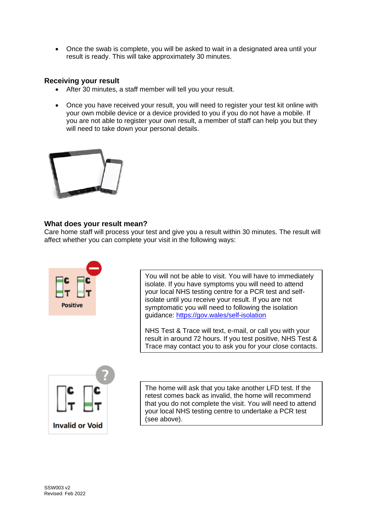• Once the swab is complete, you will be asked to wait in a designated area until your result is ready. This will take approximately 30 minutes.

#### **Receiving your result**

- After 30 minutes, a staff member will tell you your result.
- Once you have received your result, you will need to register your test kit online with your own mobile device or a device provided to you if you do not have a mobile. If you are not able to register your own result, a member of staff can help you but they will need to take down your personal details.



## **What does your result mean?**

Care home staff will process your test and give you a result within 30 minutes. The result will affect whether you can complete your visit in the following ways:



You will not be able to visit. You will have to immediately isolate. If you have symptoms you will need to attend your local NHS testing centre for a PCR test and selfisolate until you receive your result. If you are not symptomatic you will need to following the isolation guidance:<https://gov.wales/self-isolation>

NHS Test & Trace will text, e-mail, or call you with your result in around 72 hours. If you test positive, NHS Test & Trace may contact you to ask you for your close contacts.



The home will ask that you take another LFD test. If the retest comes back as invalid, the home will recommend that you do not complete the visit. You will need to attend your local NHS testing centre to undertake a PCR test (see above).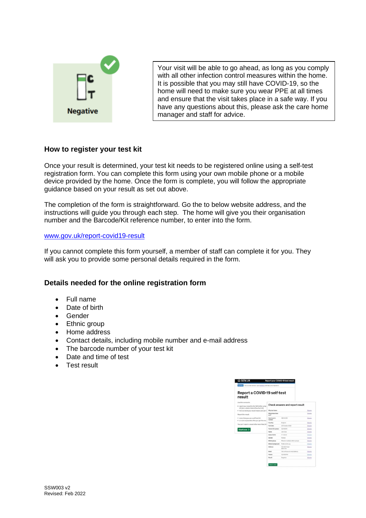

Your visit will be able to go ahead, as long as you comply with all other infection control measures within the home. It is possible that you may still have COVID-19, so the home will need to make sure you wear PPE at all times and ensure that the visit takes place in a safe way. If you have any questions about this, please ask the care home manager and staff for advice.

#### **How to register your test kit**

Once your result is determined, your test kit needs to be registered online using a self-test registration form. You can complete this form using your own mobile phone or a mobile device provided by the home. Once the form is complete, you will follow the appropriate guidance based on your result as set out above.

The completion of the form is straightforward. Go the to below website address, and the instructions will guide you through each step. The home will give you their organisation number and the Barcode/Kit reference number, to enter into the form.

#### [www.gov.uk/report-covid19-result](http://www.gov.uk/report-covid19-result)

If you cannot complete this form yourself, a member of staff can complete it for you. They will ask you to provide some personal details required in the form.

#### **Details needed for the online registration form**

- Full name
- Date of birth
- Gender
- Ethnic group
- Home address
- Contact details, including mobile number and e-mail address
- The barcode number of your test kit
- Date and time of test
- Test result

| TAXES This is a new sension - your foundated will help us to improve it.                    |                                     |                                  |                |
|---------------------------------------------------------------------------------------------|-------------------------------------|----------------------------------|----------------|
| Report a COVID-19 self-test<br>result                                                       |                                     |                                  |                |
| Use this service for                                                                        |                                     |                                  |                |
| . report your result to the NHS after using<br>kill Called called a laboral flow feed kill) |                                     | Check answers and report result  |                |
| . find out what your result means and get I                                                 | Why heat Sales                      |                                  | Channel        |
| Report the result:                                                                          | Which describes<br>pin <sup>2</sup> |                                  | Dunne          |
| · every fine you use a self-boot kit<br>· as soon as possible after you get the ren-        | Cara hame's<br>sunker               | <b>ABCSIDES</b>                  | Gherman        |
|                                                                                             | Caunky                              | England                          | <b>Channel</b> |
| You can't report a renalt after more than 24                                                | Text date                           | 20 October 2028                  | Channel        |
| Startnow >                                                                                  | Text kit (D manber)                 | 12345678                         | <b>Channel</b> |
|                                                                                             | <b>Name</b>                         | John Dog                         | <b>Channel</b> |
|                                                                                             | Date of territ                      | H VC 2222                        | Cherna         |
|                                                                                             | Genetics                            | <b>Executive</b>                 | Dunne          |
|                                                                                             | Ethnic group                        | Mixed or studigle ethnic groups  | Chanse         |
|                                                                                             | <b>Ethnic background</b>            | Freder mot by logs               | Durant         |
|                                                                                             | Address                             | <b>Q140CRoof</b><br>beneficities | Channel        |
|                                                                                             | <b>Breat</b>                        | Like not have an email address   | <b>Chanse</b>  |
|                                                                                             | Hobbs                               | <b>CLIMBATION</b>                | Darre          |
|                                                                                             | Result                              | <b>Incorporation</b>             | Chanse         |